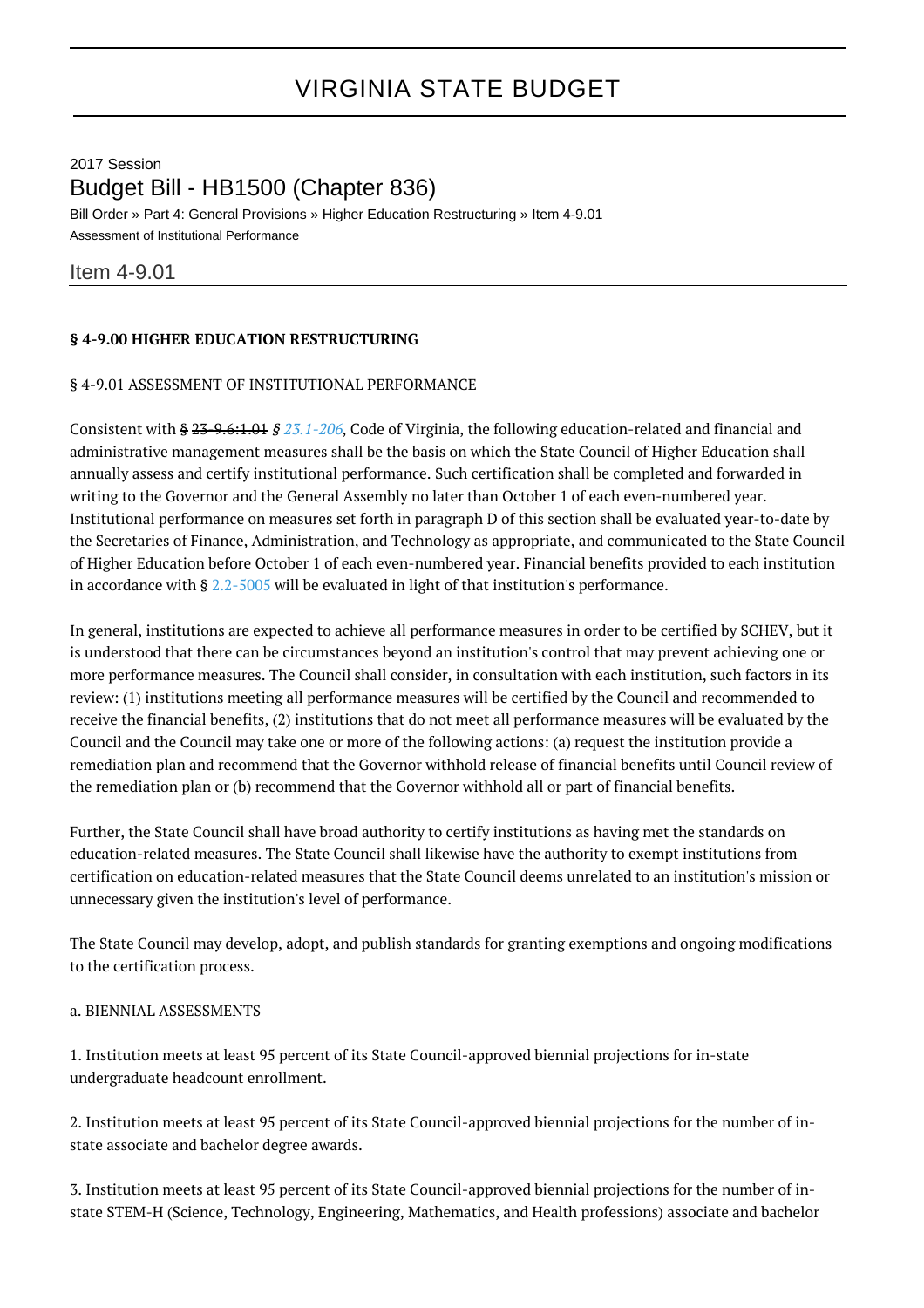# VIRGINIA STATE BUDGET

# 2017 Session Budget Bill - HB1500 (Chapter 836)

Bill Order » Part 4: General Provisions » Higher Education Restructuring » Item 4-9.01 Assessment of Institutional Performance

# Item 4-9.01

# **§ 4-9.00 HIGHER EDUCATION RESTRUCTURING**

#### § 4-9.01 ASSESSMENT OF INSTITUTIONAL PERFORMANCE

Consistent with § 23-9.6:1.01 § [23.1-206](http://law.lis.virginia.gov/vacode/23.1-206/), Code of Virginia, the following education-related and financial and administrative management measures shall be the basis on which the State Council of Higher Education shall annually assess and certify institutional performance. Such certification shall be completed and forwarded in writing to the Governor and the General Assembly no later than October 1 of each even-numbered year. Institutional performance on measures set forth in paragraph D of this section shall be evaluated year-to-date by the Secretaries of Finance, Administration, and Technology as appropriate, and communicated to the State Council of Higher Education before October 1 of each even-numbered year. Financial benefits provided to each institution in accordance with § [2.2-5005](http://law.lis.virginia.gov/vacode/2.2-5005/) will be evaluated in light of that institution's performance.

In general, institutions are expected to achieve all performance measures in order to be certified by SCHEV, but it is understood that there can be circumstances beyond an institution's control that may prevent achieving one or more performance measures. The Council shall consider, in consultation with each institution, such factors in its review: (1) institutions meeting all performance measures will be certified by the Council and recommended to receive the financial benefits, (2) institutions that do not meet all performance measures will be evaluated by the Council and the Council may take one or more of the following actions: (a) request the institution provide a remediation plan and recommend that the Governor withhold release of financial benefits until Council review of the remediation plan or (b) recommend that the Governor withhold all or part of financial benefits.

Further, the State Council shall have broad authority to certify institutions as having met the standards on education-related measures. The State Council shall likewise have the authority to exempt institutions from certification on education-related measures that the State Council deems unrelated to an institution's mission or unnecessary given the institution's level of performance.

The State Council may develop, adopt, and publish standards for granting exemptions and ongoing modifications to the certification process.

#### a. BIENNIAL ASSESSMENTS

1. Institution meets at least 95 percent of its State Council-approved biennial projections for in-state undergraduate headcount enrollment.

2. Institution meets at least 95 percent of its State Council-approved biennial projections for the number of instate associate and bachelor degree awards.

3. Institution meets at least 95 percent of its State Council-approved biennial projections for the number of instate STEM-H (Science, Technology, Engineering, Mathematics, and Health professions) associate and bachelor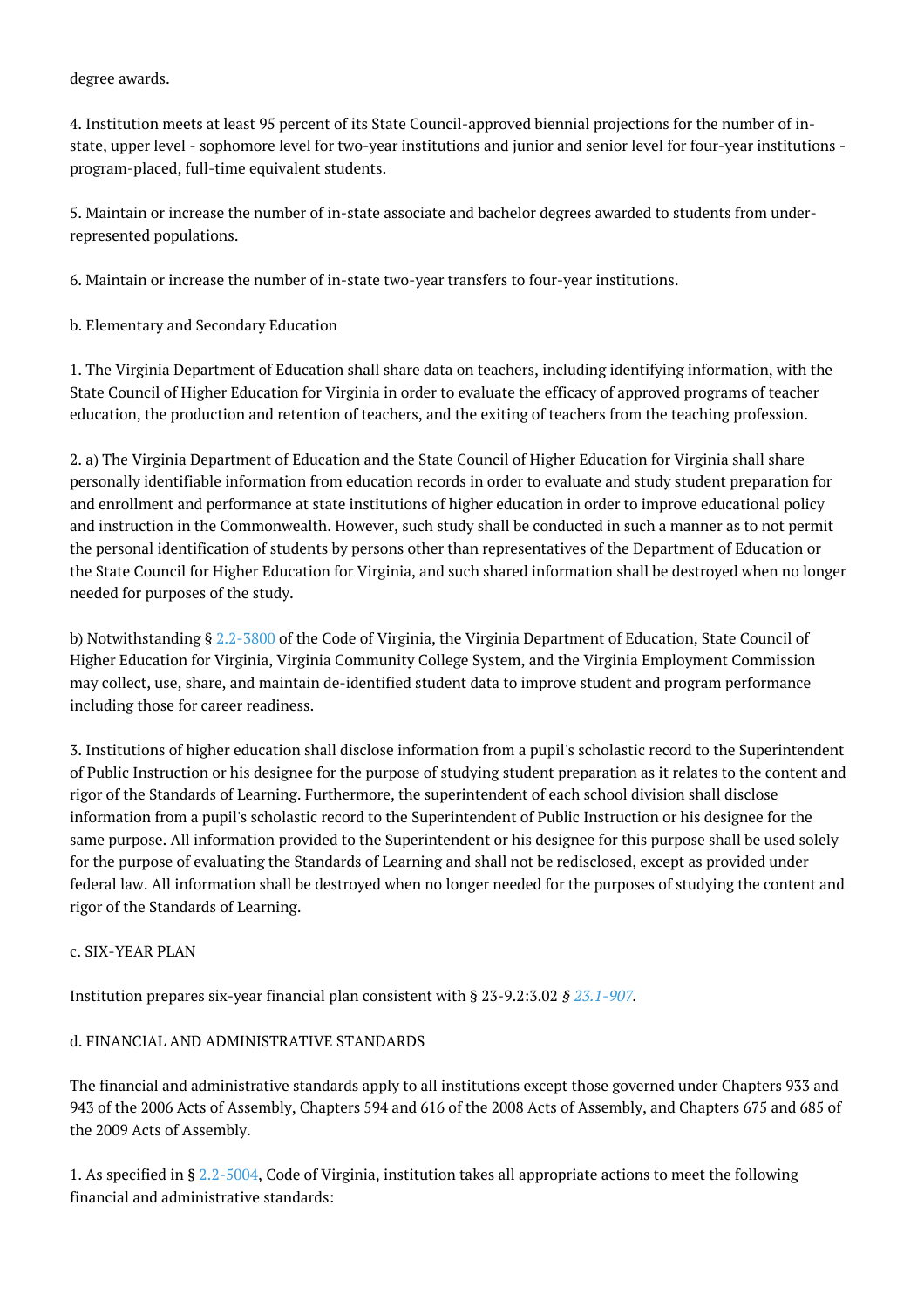#### degree awards.

4. Institution meets at least 95 percent of its State Council-approved biennial projections for the number of instate, upper level - sophomore level for two-year institutions and junior and senior level for four-year institutions program-placed, full-time equivalent students.

5. Maintain or increase the number of in-state associate and bachelor degrees awarded to students from underrepresented populations.

6. Maintain or increase the number of in-state two-year transfers to four-year institutions.

b. Elementary and Secondary Education

1. The Virginia Department of Education shall share data on teachers, including identifying information, with the State Council of Higher Education for Virginia in order to evaluate the efficacy of approved programs of teacher education, the production and retention of teachers, and the exiting of teachers from the teaching profession.

2. a) The Virginia Department of Education and the State Council of Higher Education for Virginia shall share personally identifiable information from education records in order to evaluate and study student preparation for and enrollment and performance at state institutions of higher education in order to improve educational policy and instruction in the Commonwealth. However, such study shall be conducted in such a manner as to not permit the personal identification of students by persons other than representatives of the Department of Education or the State Council for Higher Education for Virginia, and such shared information shall be destroyed when no longer needed for purposes of the study.

b) Notwithstanding § [2.2-3800](http://law.lis.virginia.gov/vacode/2.2-3800/) of the Code of Virginia, the Virginia Department of Education, State Council of Higher Education for Virginia, Virginia Community College System, and the Virginia Employment Commission may collect, use, share, and maintain de-identified student data to improve student and program performance including those for career readiness.

3. Institutions of higher education shall disclose information from a pupil's scholastic record to the Superintendent of Public Instruction or his designee for the purpose of studying student preparation as it relates to the content and rigor of the Standards of Learning. Furthermore, the superintendent of each school division shall disclose information from a pupil's scholastic record to the Superintendent of Public Instruction or his designee for the same purpose. All information provided to the Superintendent or his designee for this purpose shall be used solely for the purpose of evaluating the Standards of Learning and shall not be redisclosed, except as provided under federal law. All information shall be destroyed when no longer needed for the purposes of studying the content and rigor of the Standards of Learning.

# c. SIX-YEAR PLAN

Institution prepares six-year financial plan consistent with § 23-9.2:3.02 § [23.1-907](http://law.lis.virginia.gov/vacode/23.1-907/).

# d. FINANCIAL AND ADMINISTRATIVE STANDARDS

The financial and administrative standards apply to all institutions except those governed under Chapters 933 and 943 of the 2006 Acts of Assembly, Chapters 594 and 616 of the 2008 Acts of Assembly, and Chapters 675 and 685 of the 2009 Acts of Assembly.

1. As specified in § [2.2-5004](http://law.lis.virginia.gov/vacode/2.2-5004/), Code of Virginia, institution takes all appropriate actions to meet the following financial and administrative standards: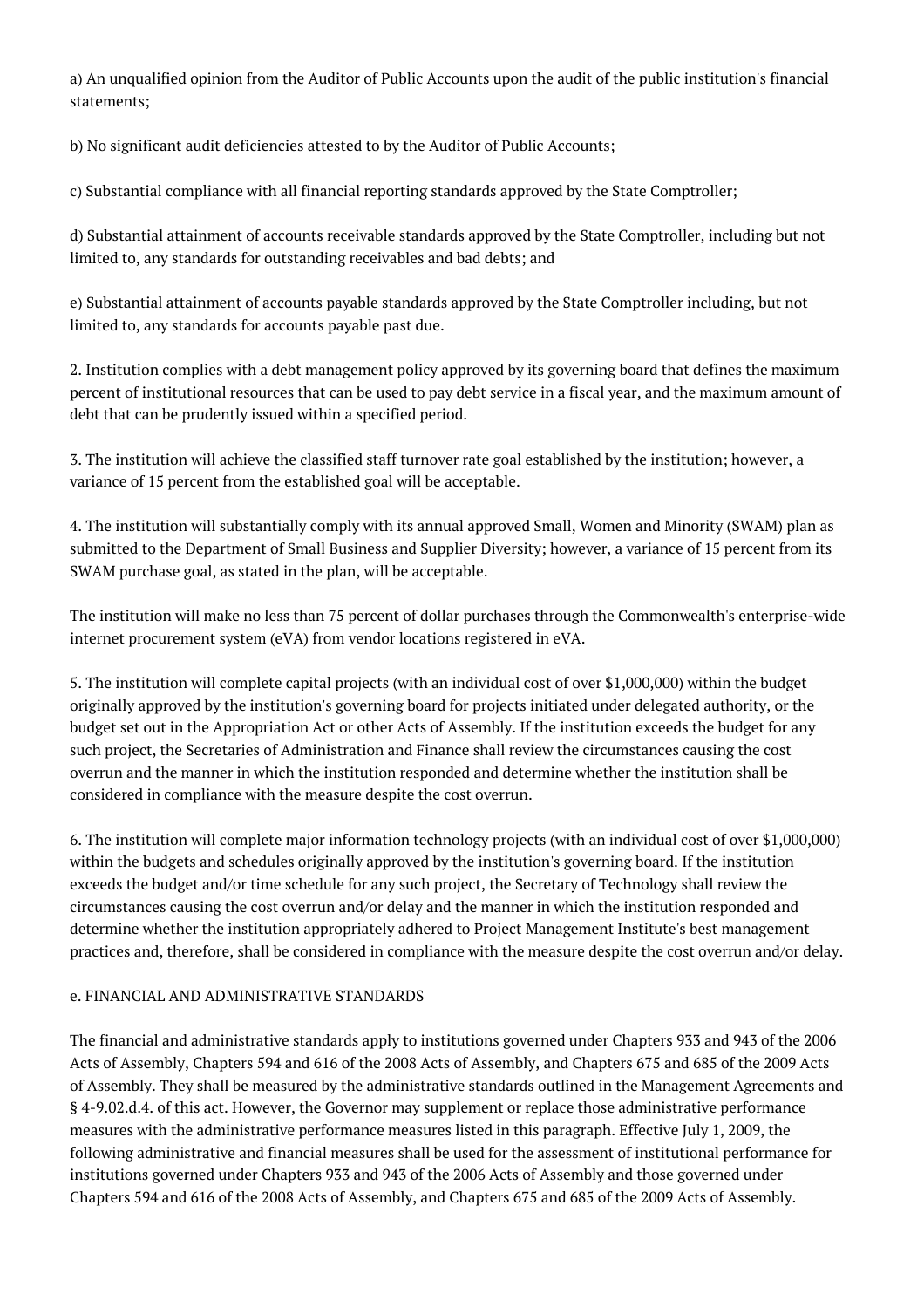a) An unqualified opinion from the Auditor of Public Accounts upon the audit of the public institution's financial statements;

b) No significant audit deficiencies attested to by the Auditor of Public Accounts;

c) Substantial compliance with all financial reporting standards approved by the State Comptroller;

d) Substantial attainment of accounts receivable standards approved by the State Comptroller, including but not limited to, any standards for outstanding receivables and bad debts; and

e) Substantial attainment of accounts payable standards approved by the State Comptroller including, but not limited to, any standards for accounts payable past due.

2. Institution complies with a debt management policy approved by its governing board that defines the maximum percent of institutional resources that can be used to pay debt service in a fiscal year, and the maximum amount of debt that can be prudently issued within a specified period.

3. The institution will achieve the classified staff turnover rate goal established by the institution; however, a variance of 15 percent from the established goal will be acceptable.

4. The institution will substantially comply with its annual approved Small, Women and Minority (SWAM) plan as submitted to the Department of Small Business and Supplier Diversity; however, a variance of 15 percent from its SWAM purchase goal, as stated in the plan, will be acceptable.

The institution will make no less than 75 percent of dollar purchases through the Commonwealth's enterprise-wide internet procurement system (eVA) from vendor locations registered in eVA.

5. The institution will complete capital projects (with an individual cost of over \$1,000,000) within the budget originally approved by the institution's governing board for projects initiated under delegated authority, or the budget set out in the Appropriation Act or other Acts of Assembly. If the institution exceeds the budget for any such project, the Secretaries of Administration and Finance shall review the circumstances causing the cost overrun and the manner in which the institution responded and determine whether the institution shall be considered in compliance with the measure despite the cost overrun.

6. The institution will complete major information technology projects (with an individual cost of over \$1,000,000) within the budgets and schedules originally approved by the institution's governing board. If the institution exceeds the budget and/or time schedule for any such project, the Secretary of Technology shall review the circumstances causing the cost overrun and/or delay and the manner in which the institution responded and determine whether the institution appropriately adhered to Project Management Institute's best management practices and, therefore, shall be considered in compliance with the measure despite the cost overrun and/or delay.

# e. FINANCIAL AND ADMINISTRATIVE STANDARDS

The financial and administrative standards apply to institutions governed under Chapters 933 and 943 of the 2006 Acts of Assembly, Chapters 594 and 616 of the 2008 Acts of Assembly, and Chapters 675 and 685 of the 2009 Acts of Assembly. They shall be measured by the administrative standards outlined in the Management Agreements and § 4-9.02.d.4. of this act. However, the Governor may supplement or replace those administrative performance measures with the administrative performance measures listed in this paragraph. Effective July 1, 2009, the following administrative and financial measures shall be used for the assessment of institutional performance for institutions governed under Chapters 933 and 943 of the 2006 Acts of Assembly and those governed under Chapters 594 and 616 of the 2008 Acts of Assembly, and Chapters 675 and 685 of the 2009 Acts of Assembly.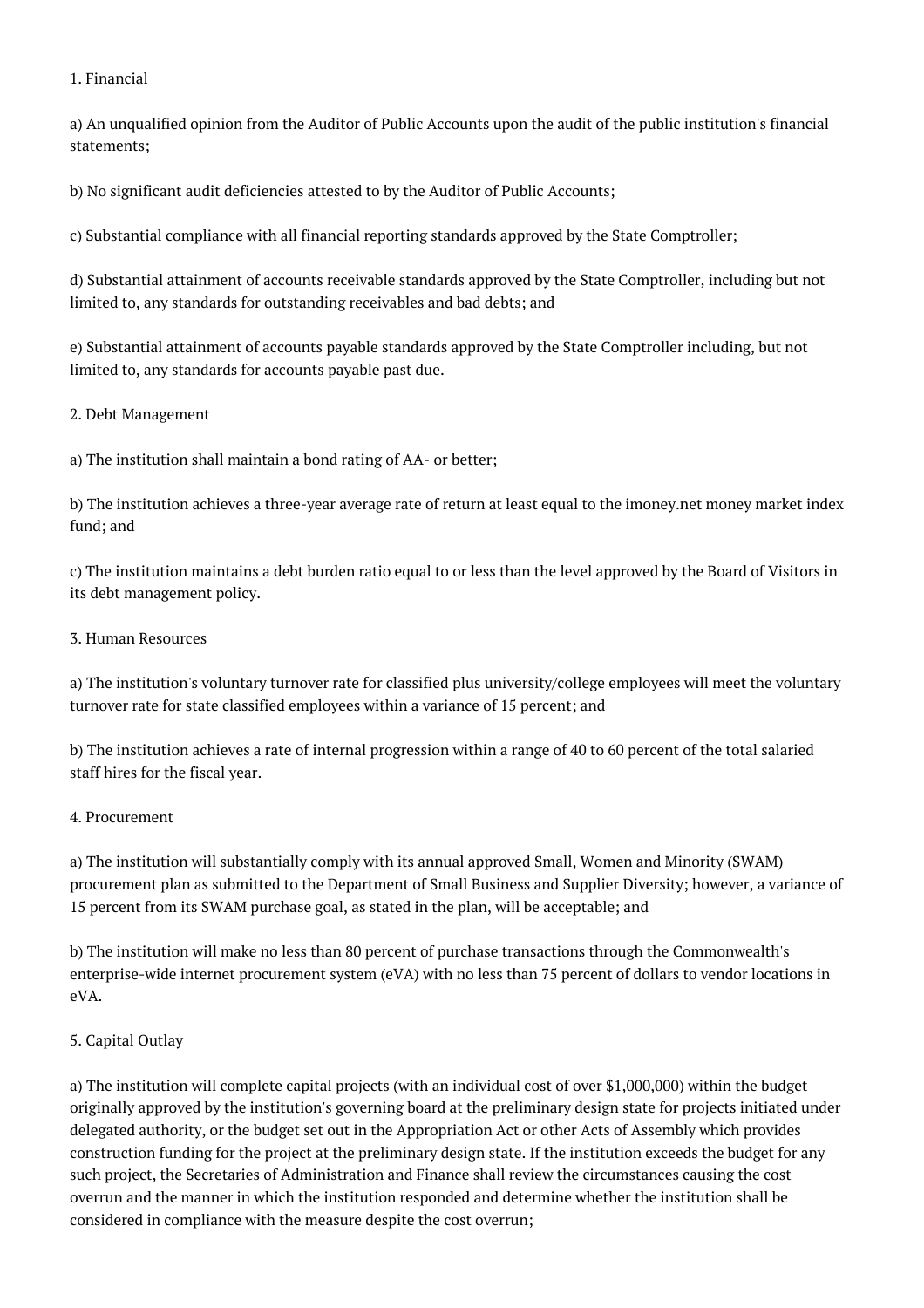#### 1. Financial

a) An unqualified opinion from the Auditor of Public Accounts upon the audit of the public institution's financial statements;

b) No significant audit deficiencies attested to by the Auditor of Public Accounts;

c) Substantial compliance with all financial reporting standards approved by the State Comptroller;

d) Substantial attainment of accounts receivable standards approved by the State Comptroller, including but not limited to, any standards for outstanding receivables and bad debts; and

e) Substantial attainment of accounts payable standards approved by the State Comptroller including, but not limited to, any standards for accounts payable past due.

#### 2. Debt Management

a) The institution shall maintain a bond rating of AA- or better;

b) The institution achieves a three-year average rate of return at least equal to the imoney.net money market index fund; and

c) The institution maintains a debt burden ratio equal to or less than the level approved by the Board of Visitors in its debt management policy.

#### 3. Human Resources

a) The institution's voluntary turnover rate for classified plus university/college employees will meet the voluntary turnover rate for state classified employees within a variance of 15 percent; and

b) The institution achieves a rate of internal progression within a range of 40 to 60 percent of the total salaried staff hires for the fiscal year.

# 4. Procurement

a) The institution will substantially comply with its annual approved Small, Women and Minority (SWAM) procurement plan as submitted to the Department of Small Business and Supplier Diversity; however, a variance of 15 percent from its SWAM purchase goal, as stated in the plan, will be acceptable; and

b) The institution will make no less than 80 percent of purchase transactions through the Commonwealth's enterprise-wide internet procurement system (eVA) with no less than 75 percent of dollars to vendor locations in eVA.

# 5. Capital Outlay

a) The institution will complete capital projects (with an individual cost of over \$1,000,000) within the budget originally approved by the institution's governing board at the preliminary design state for projects initiated under delegated authority, or the budget set out in the Appropriation Act or other Acts of Assembly which provides construction funding for the project at the preliminary design state. If the institution exceeds the budget for any such project, the Secretaries of Administration and Finance shall review the circumstances causing the cost overrun and the manner in which the institution responded and determine whether the institution shall be considered in compliance with the measure despite the cost overrun;